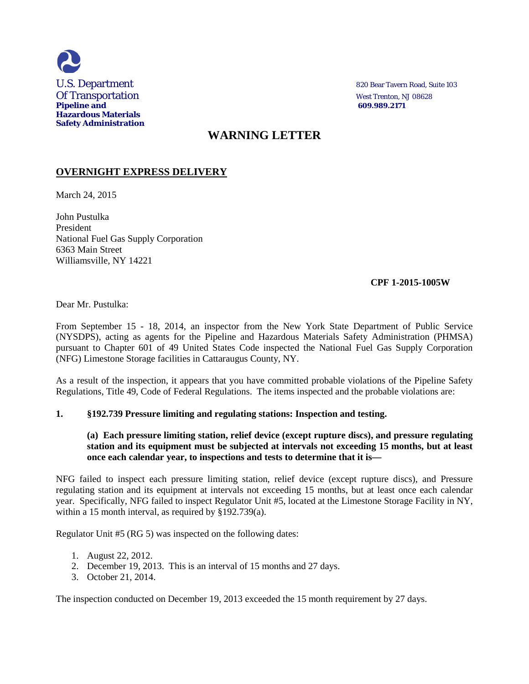

# **WARNING LETTER**

## **OVERNIGHT EXPRESS DELIVERY**

March 24, 2015

John Pustulka President National Fuel Gas Supply Corporation 6363 Main Street Williamsville, NY 14221

## **CPF 1-2015-1005W**

Dear Mr. Pustulka:

From September 15 - 18, 2014, an inspector from the New York State Department of Public Service (NYSDPS), acting as agents for the Pipeline and Hazardous Materials Safety Administration (PHMSA) pursuant to Chapter 601 of 49 United States Code inspected the National Fuel Gas Supply Corporation (NFG) Limestone Storage facilities in Cattaraugus County, NY.

As a result of the inspection, it appears that you have committed probable violations of the Pipeline Safety Regulations, Title 49, Code of Federal Regulations. The items inspected and the probable violations are:

### **1. §192.739 Pressure limiting and regulating stations: Inspection and testing.**

### **(a) Each pressure limiting station, relief device (except rupture discs), and pressure regulating station and its equipment must be subjected at intervals not exceeding 15 months, but at least once each calendar year, to inspections and tests to determine that it is—**

NFG failed to inspect each pressure limiting station, relief device (except rupture discs), and Pressure regulating station and its equipment at intervals not exceeding 15 months, but at least once each calendar year. Specifically, NFG failed to inspect Regulator Unit #5, located at the Limestone Storage Facility in NY, within a 15 month interval, as required by §192.739(a).

Regulator Unit #5 (RG 5) was inspected on the following dates:

- 1. August 22, 2012.
- 2. December 19, 2013. This is an interval of 15 months and 27 days.
- 3. October 21, 2014.

The inspection conducted on December 19, 2013 exceeded the 15 month requirement by 27 days.